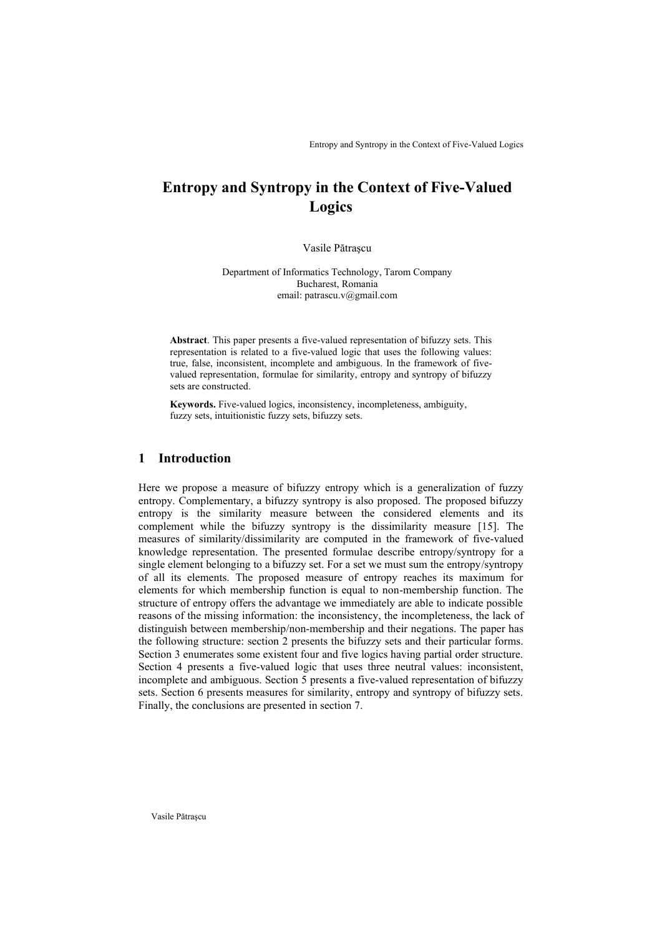# **Entropy and Syntropy in the Context of Five-Valued Logics**

#### Vasile Pătraşcu

Department of Informatics Technology, Tarom Company Bucharest, Romania email: patrascu.[v@gmail.com](mailto:jdoe@unknown.com)

**Abstract**. This paper presents a five-valued representation of bifuzzy sets. This representation is related to a five-valued logic that uses the following values: true, false, inconsistent, incomplete and ambiguous. In the framework of fivevalued representation, formulae for similarity, entropy and syntropy of bifuzzy sets are constructed.

**Keywords.** Five-valued logics, inconsistency, incompleteness, ambiguity, fuzzy sets, intuitionistic fuzzy sets, bifuzzy sets.

### **1 Introduction**

Here we propose a measure of bifuzzy entropy which is a generalization of fuzzy entropy. Complementary, a bifuzzy syntropy is also proposed. The proposed bifuzzy entropy is the similarity measure between the considered elements and its complement while the bifuzzy syntropy is the dissimilarity measure [15]. The measures of similarity/dissimilarity are computed in the framework of five-valued knowledge representation. The presented formulae describe entropy/syntropy for a single element belonging to a bifuzzy set. For a set we must sum the entropy/syntropy of all its elements. The proposed measure of entropy reaches its maximum for elements for which membership function is equal to non-membership function. The structure of entropy offers the advantage we immediately are able to indicate possible reasons of the missing information: the inconsistency, the incompleteness, the lack of distinguish between membership/non-membership and their negations. The paper has the following structure: section 2 presents the bifuzzy sets and their particular forms. Section 3 enumerates some existent four and five logics having partial order structure. Section 4 presents a five-valued logic that uses three neutral values: inconsistent, incomplete and ambiguous. Section 5 presents a five-valued representation of bifuzzy sets. Section 6 presents measures for similarity, entropy and syntropy of bifuzzy sets. Finally, the conclusions are presented in section 7.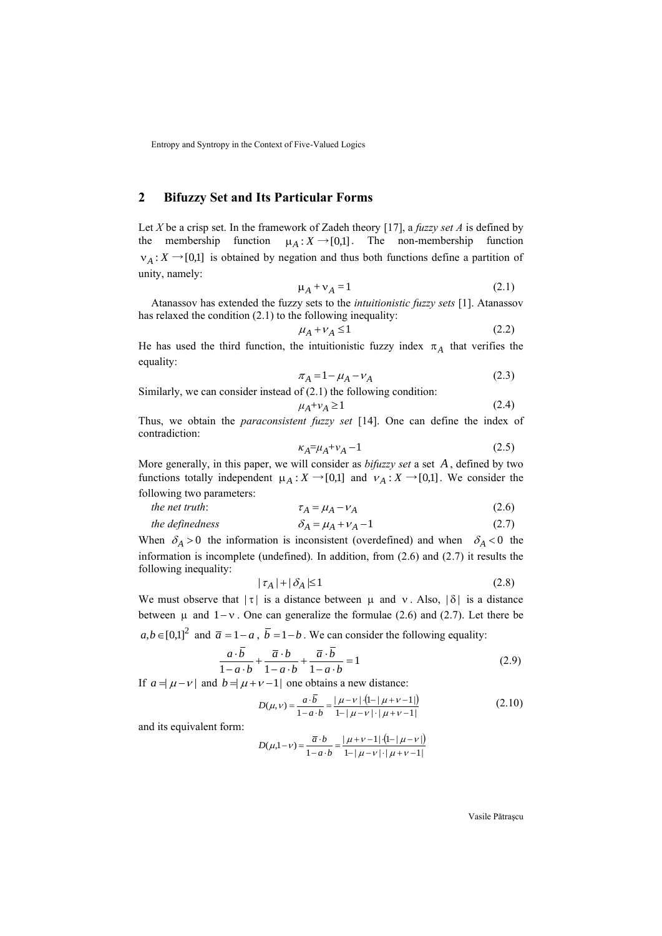#### **2 Bifuzzy Set and Its Particular Forms**

Let *X* be a crisp set. In the framework of Zadeh theory [17], a *fuzzy set A* is defined by the membership function  $\mu_A: X \to [0,1]$ . The non-membership function  $v_A: X \rightarrow [0,1]$  is obtained by negation and thus both functions define a partition of unity, namely:

$$
\mu_A + \nu_A = 1 \tag{2.1}
$$

Atanassov has extended the fuzzy sets to the *intuitionistic fuzzy sets* [1]. Atanassov has relaxed the condition (2.1) to the following inequality:

$$
\mu_A + \nu_A \le 1\tag{2.2}
$$

He has used the third function, the intuitionistic fuzzy index  $\pi_A$  that verifies the equality:

$$
\pi_A = 1 - \mu_A - \nu_A \tag{2.3}
$$

Similarly, we can consider instead of (2.1) the following condition:  $\mu_A + \nu_A \geq 1$ (2.4)

Thus, we obtain the *paraconsistent fuzzy set* [14]. One can define the index of contradiction:

$$
\kappa_A = \mu_A + \nu_A - 1 \tag{2.5}
$$

More generally, in this paper, we will consider as *bifuzzy set* a set *A* , defined by two functions totally independent  $\mu_A : X \to [0,1]$  and  $\nu_A : X \to [0,1]$ . We consider the following two parameters:

the net truth: 
$$
\tau_A = \mu_A - \nu_A
$$
 (2.6)  
the definedness 
$$
\delta_A = \mu_A + \nu_A - 1
$$
 (2.7)

When  $\delta_A > 0$  the information is inconsistent (overdefined) and when  $\delta_A < 0$  the information is incomplete (undefined). In addition, from (2.6) and (2.7) it results the following inequality:

$$
|\tau_A| + |\delta_A| \le 1 \tag{2.8}
$$

We must observe that  $|\tau|$  is a distance between  $\mu$  and  $\nu$ . Also,  $|\delta|$  is a distance between  $\mu$  and  $1-\nu$ . One can generalize the formulae (2.6) and (2.7). Let there be  $a, b \in [0,1]^2$  and  $\overline{a} = 1 - a$ ,  $\overline{b} = 1 - b$ . We can consider the following equality:

$$
\frac{a \cdot \overline{b}}{1 - a \cdot b} + \frac{\overline{a} \cdot b}{1 - a \cdot b} + \frac{\overline{a} \cdot \overline{b}}{1 - a \cdot b} = 1
$$
 (2.9)

If  $a = |\mu - \nu|$  and  $b = |\mu + \nu - 1|$  one obtains a new distance:

$$
D(\mu, \nu) = \frac{a \cdot \overline{b}}{1 - a \cdot b} = \frac{|\mu - \nu| \cdot (1 - |\mu + \nu - 1|)}{1 - |\mu - \nu| \cdot |\mu + \nu - 1|} \tag{2.10}
$$

and its equivalent form:

$$
D(\mu, 1 - \nu) = \frac{\overline{a} \cdot b}{1 - a \cdot b} = \frac{|\mu + \nu - 1| \cdot (1 - |\mu - \nu|)}{1 - |\mu - \nu| \cdot |\mu + \nu - 1|}
$$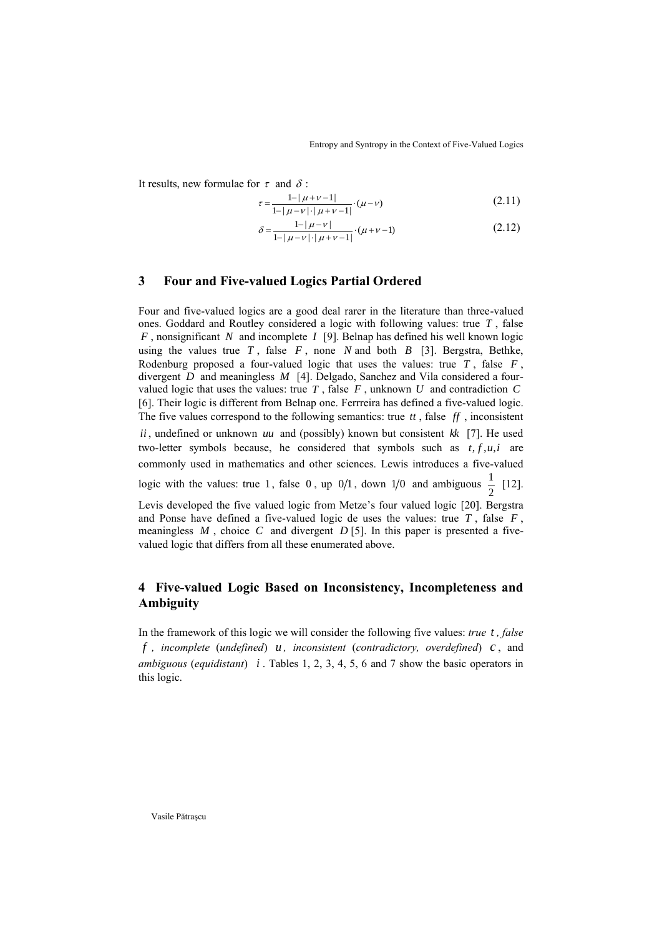It results, new formulae for  $\tau$  and  $\delta$ :

$$
\tau = \frac{1 - |\mu + \nu - 1|}{1 - |\mu - \nu| \cdot |\mu + \nu - 1|} \cdot (\mu - \nu) \tag{2.11}
$$

$$
\delta = \frac{1 - |\mu - \nu|}{1 - |\mu - \nu| \cdot |\mu + \nu - 1|} \cdot (\mu + \nu - 1)
$$
\n(2.12)

### **3 Four and Five-valued Logics Partial Ordered**

Four and five-valued logics are a good deal rarer in the literature than three-valued ones. Goddard and Routley considered a logic with following values: true *T* , false *F*, nonsignificant *N* and incomplete *I* [9]. Belnap has defined his well known logic using the values true  $T$ , false  $F$ , none  $N$  and both  $B$  [3]. Bergstra, Bethke, Rodenburg proposed a four-valued logic that uses the values: true  $T$ , false  $F$ , divergent *D* and meaningless *M* [4]. Delgado, Sanchez and Vila considered a fourvalued logic that uses the values: true  $T$ , false  $F$ , unknown  $U$  and contradiction  $C$ [6]. Their logic is different from Belnap one. Ferrreira has defined a five-valued logic. The five values correspond to the following semantics: true *tt* , false *ff* , inconsistent ii, undefined or unknown *uu* and (possibly) known but consistent *kk* [7]. He used two-letter symbols because, he considered that symbols such as  $t, f, u, i$  are commonly used in mathematics and other sciences. Lewis introduces a five-valued logic with the values: true 1, false 0, up  $0/1$ , down  $1/0$  and ambiguous  $\frac{1}{2}$  $\frac{1}{2}$  [12]. Levis developed the five valued logic from Metze's four valued logic [20]. Bergstra and Ponse have defined a five-valued logic de uses the values: true  $T$ , false  $F$ ,

meaningless  $M$ , choice  $C$  and divergent  $D$  [5]. In this paper is presented a fivevalued logic that differs from all these enumerated above.

# **4 Five-valued Logic Based on Inconsistency, Incompleteness and Ambiguity**

In the framework of this logic we will consider the following five values: *true t , false f , incomplete* (*undefined*) *u , inconsistent* (*contradictory, overdefined*) *c* , and *ambiguous* (*equidistant*) *i* . Tables 1, 2, 3, 4, 5, 6 and 7 show the basic operators in this logic.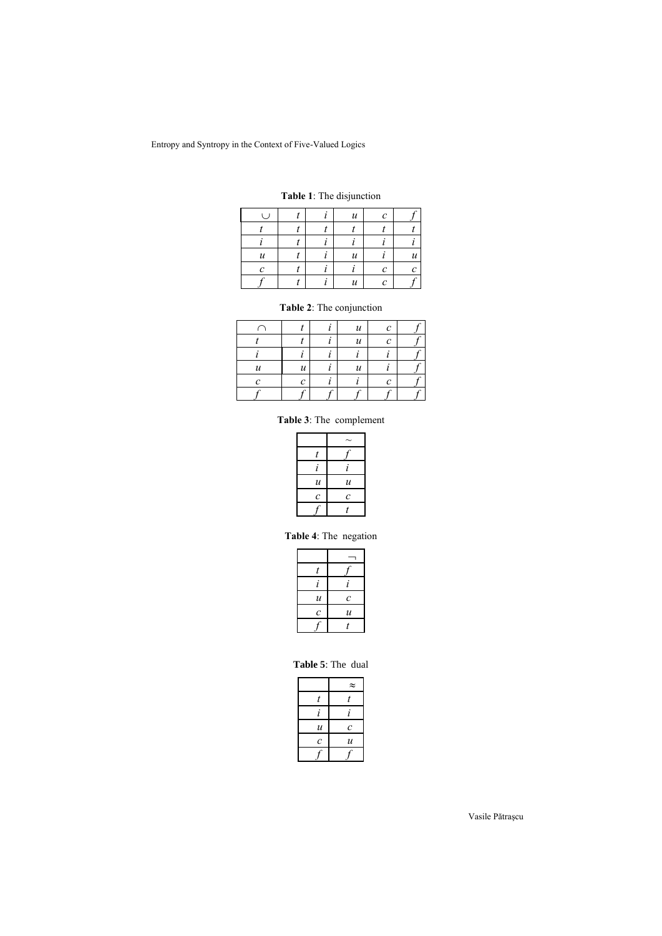| $\cup$        |  | $\boldsymbol{u}$ | $\mathcal{C}$ |   |
|---------------|--|------------------|---------------|---|
|               |  |                  |               |   |
|               |  |                  |               |   |
| $\mathcal{U}$ |  | $\boldsymbol{u}$ |               |   |
| $\mathcal{C}$ |  |                  | $\mathcal C$  | C |
|               |  | и                | C             |   |

### **Table 1**: The disjunction

**Table 2**: The conjunction

|   | $\boldsymbol{u}$ | ◠ |  |
|---|------------------|---|--|
|   | и                |   |  |
|   |                  |   |  |
| и | и                |   |  |
|   |                  |   |  |
|   |                  |   |  |

**Table 3**: The complement

| t                     |                   |
|-----------------------|-------------------|
| ı                     | ĺ                 |
| $\mathcal{U}$         | $\mathcal{U}$     |
| $\mathcal{C}_{0}^{2}$ | $\mathcal{C}_{0}$ |
|                       | t                 |

**Table 4**: The negation

| t             |                            |
|---------------|----------------------------|
|               |                            |
| $\mathcal{U}$ | $\mathcal{C}_{0}$          |
| $\mathcal C$  | $\boldsymbol{\mathcal{u}}$ |
|               | t                          |

**Table 5**: The dual

|                   | $\approx$     |
|-------------------|---------------|
| t                 | t             |
| i                 | i             |
| $\mathcal{U}$     | $\mathcal C$  |
| $\mathcal{C}_{0}$ | $\mathcal{U}$ |
|                   |               |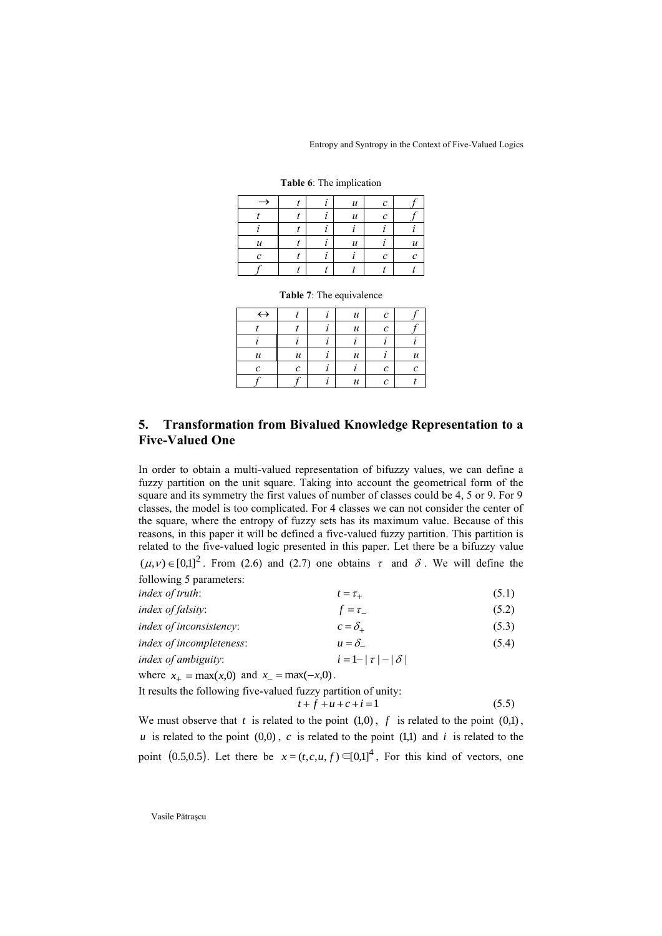|  |  | <b>Table 6:</b> The implication |
|--|--|---------------------------------|

|                     |  | $\boldsymbol{u}$ | C |    |
|---------------------|--|------------------|---|----|
|                     |  | $\boldsymbol{u}$ | C |    |
|                     |  |                  |   |    |
| $\boldsymbol{\eta}$ |  | $\boldsymbol{u}$ |   | 11 |
| C                   |  |                  | с |    |
|                     |  |                  |   |    |

**Table 7**: The equivalence

| $\leftrightarrow$ |                  | $\boldsymbol{u}$ | $\mathcal C$ |                  |
|-------------------|------------------|------------------|--------------|------------------|
|                   |                  | $\boldsymbol{u}$ | $\mathcal C$ |                  |
|                   |                  |                  |              |                  |
| $\boldsymbol{u}$  | $\boldsymbol{u}$ | $\boldsymbol{u}$ |              | $\boldsymbol{u}$ |
| C                 | C                |                  | C            | $\mathcal{C}$    |
|                   |                  | $\boldsymbol{u}$ | c            |                  |

## **5. Transformation from Bivalued Knowledge Representation to a Five-Valued One**

In order to obtain a multi-valued representation of bifuzzy values, we can define a fuzzy partition on the unit square. Taking into account the geometrical form of the square and its symmetry the first values of number of classes could be 4, 5 or 9. For 9 classes, the model is too complicated. For 4 classes we can not consider the center of the square, where the entropy of fuzzy sets has its maximum value. Because of this reasons, in this paper it will be defined a five-valued fuzzy partition. This partition is related to the five-valued logic presented in this paper. Let there be a bifuzzy value

 $(\mu, \nu) \in [0,1]^2$ . From (2.6) and (2.7) one obtains  $\tau$  and  $\delta$ . We will define the following 5 parameters:

| index of truth:                                  | $t=\tau_{+}$          | (5.1) |
|--------------------------------------------------|-----------------------|-------|
| <i>index of falsity:</i>                         | $f=\tau_-$            | (5.2) |
| index of inconsistency:                          | $c = \delta_{+}$      | (5.3) |
| <i>index of incompleteness:</i>                  | $u = \delta$          | (5.4) |
| index of ambiguity:                              | $i=1- \tau - \delta $ |       |
| where $x_+ = \max(x,0)$ and $x_- = \max(-x,0)$ . |                       |       |

It results the following five-valued fuzzy partition of unity:

$$
t + f + u + c + i = 1 \tag{5.5}
$$

We must observe that  $t$  is related to the point  $(1,0)$ ,  $f$  is related to the point  $(0,1)$ , *u* is related to the point  $(0,0)$ , *c* is related to the point  $(1,1)$  and *i* is related to the point (0.5,0.5). Let there be  $x = (t, c, u, f) \in [0,1]^4$ , For this kind of vectors, one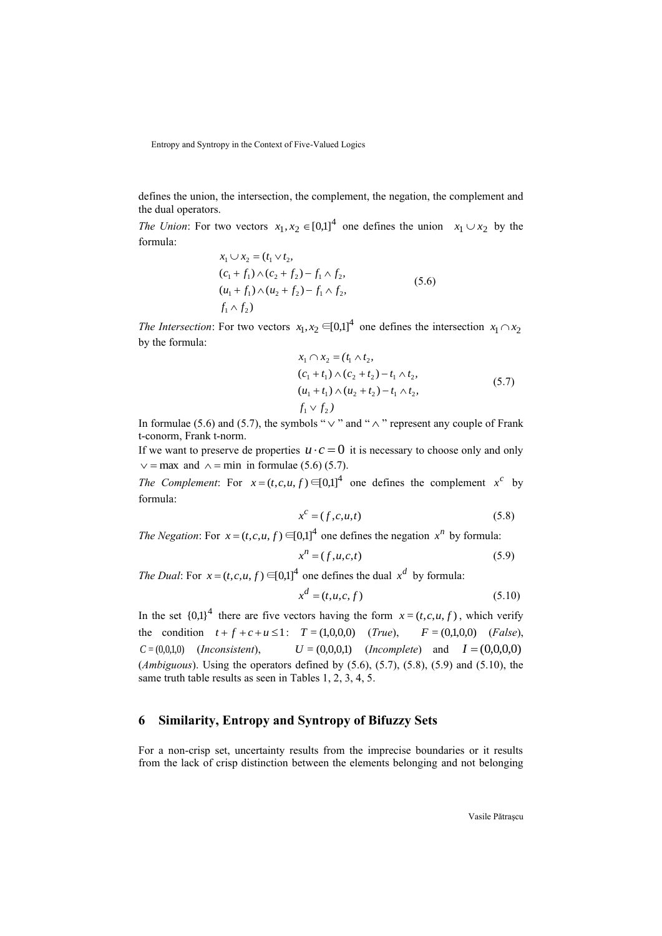defines the union, the intersection, the complement, the negation, the complement and the dual operators.

*The Union*: For two vectors  $x_1, x_2 \in [0,1]^4$  one defines the union  $x_1 \cup x_2$  by the formula:

$$
x_1 \cup x_2 = (t_1 \vee t_2, (c_1 + f_1) \wedge (c_2 + f_2) - f_1 \wedge f_2, (u_1 + f_1) \wedge (u_2 + f_2) - f_1 \wedge f_2, f_1 \wedge f_2)
$$
\n(5.6)

*The Intersection*: For two vectors  $x_1, x_2 \in [0,1]^4$  one defines the intersection  $x_1 \cap x_2$ by the formula:

$$
x_1 \cap x_2 = (t_1 \land t_2,(c_1 + t_1) \land (c_2 + t_2) - t_1 \land t_2,(u_1 + t_1) \land (u_2 + t_2) - t_1 \land t_2,f_1 \lor f_2)
$$
\n(5.7)

In formulae (5.6) and (5.7), the symbols " $\vee$ " and " $\wedge$ " represent any couple of Frank t-conorm, Frank t-norm.

If we want to preserve de properties  $u \cdot c = 0$  it is necessary to choose only and only  $\vee$  = max and  $\wedge$  = min in formulae (5.6) (5.7).

*The Complement*: For  $x = (t, c, u, f) \in [0,1]^4$  one defines the complement  $x^c$  by formula:

$$
x^c = (f, c, u, t) \tag{5.8}
$$

*The Negation*: For  $x = (t, c, u, f) \in [0,1]^4$  one defines the negation  $x^n$  by formula:

$$
x^n = (f, u, c, t) \tag{5.9}
$$

*The Dual*: For  $x = (t, c, u, f) \in [0,1]^4$  one defines the dual  $x^d$  by formula:

$$
x^d = (t, u, c, f) \tag{5.10}
$$

In the set  ${0,1}^4$  there are five vectors having the form  $x = (t, c, u, f)$ , which verify the condition  $t + f + c + u \le 1$ :  $T = (1,0,0,0)$  (*True*), *F* = (0,1,0,0) (*False*), *C* = (0,0,1,0) (*Inconsistent*),  $U = (0,0,0,1)$  (*Incomplete*) and  $I = (0,0,0,0)$ (*Ambiguous*). Using the operators defined by (5.6), (5.7), (5.8), (5.9) and (5.10), the same truth table results as seen in Tables 1, 2, 3, 4, 5.

#### **6 Similarity, Entropy and Syntropy of Bifuzzy Sets**

For a non-crisp set, uncertainty results from the imprecise boundaries or it results from the lack of crisp distinction between the elements belonging and not belonging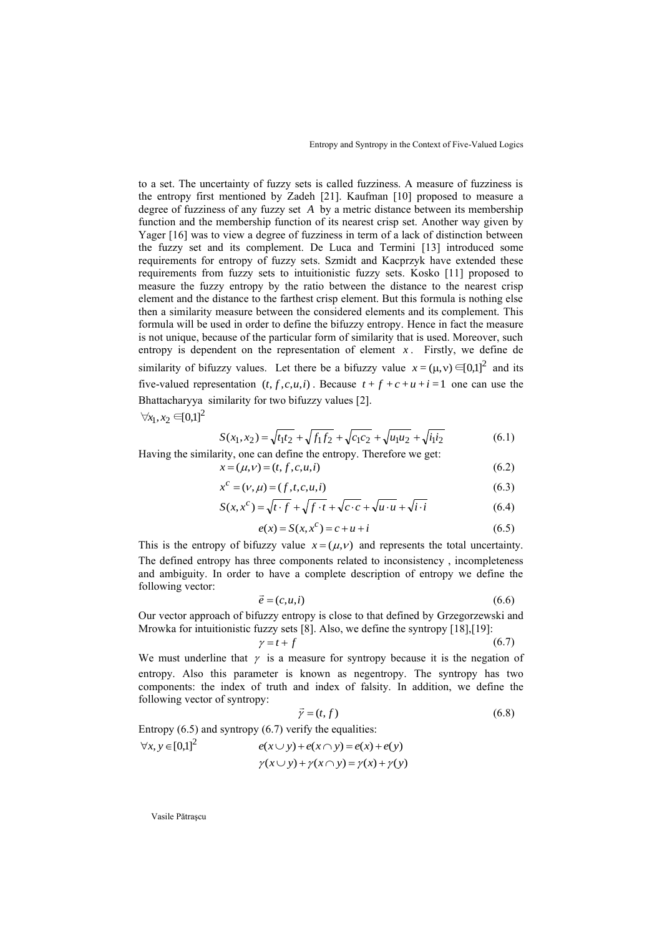to a set. The uncertainty of fuzzy sets is called fuzziness. A measure of fuzziness is the entropy first mentioned by Zadeh [21]. Kaufman [10] proposed to measure a degree of fuzziness of any fuzzy set *A* by a metric distance between its membership function and the membership function of its nearest crisp set. Another way given by Yager [16] was to view a degree of fuzziness in term of a lack of distinction between the fuzzy set and its complement. De Luca and Termini [13] introduced some requirements for entropy of fuzzy sets. Szmidt and Kacprzyk have extended these requirements from fuzzy sets to intuitionistic fuzzy sets. Kosko [11] proposed to measure the fuzzy entropy by the ratio between the distance to the nearest crisp element and the distance to the farthest crisp element. But this formula is nothing else then a similarity measure between the considered elements and its complement. This formula will be used in order to define the bifuzzy entropy. Hence in fact the measure is not unique, because of the particular form of similarity that is used. Moreover, such entropy is dependent on the representation of element  $x$ . Firstly, we define de similarity of bifuzzy values. Let there be a bifuzzy value  $x = (\mu, v) \in [0,1]^2$  and its five-valued representation  $(t, f, c, u, i)$ . Because  $t + f + c + u + i = 1$  one can use the [Bhattacharyya](http://en.wikipedia.org/wiki/Bhattacharyya_distance#Bhattacharyya_coefficient) similarity for two bifuzzy values [2].

 $\forall x_1, x_2 \in [0,1]^2$ 

$$
S(x_1, x_2) = \sqrt{t_1 t_2} + \sqrt{f_1 f_2} + \sqrt{c_1 c_2} + \sqrt{u_1 u_2} + \sqrt{i_1 i_2}
$$
(6.1)

Having the similarity, one can define the entropy. Therefore we get:

$$
x = (\mu, v) = (t, f, c, u, i)
$$
\n(6.2)

$$
x^{c} = (v, \mu) = (f, t, c, u, i)
$$
\n(6.3)

$$
S(x, x^c) = \sqrt{t \cdot f} + \sqrt{f \cdot t} + \sqrt{c \cdot c} + \sqrt{u \cdot u} + \sqrt{i \cdot i}
$$
 (6.4)

$$
e(x) = S(x, x^c) = c + u + i \tag{6.5}
$$

 $(6.2)$ 

This is the entropy of bifuzzy value  $x = (\mu, v)$  and represents the total uncertainty. The defined entropy has three components related to inconsistency , incompleteness and ambiguity. In order to have a complete description of entropy we define the following vector:  $\rightarrow$ 

$$
\vec{e} = (c, u, i) \tag{6.6}
$$

Our vector approach of bifuzzy entropy is close to that defined by Grzegorzewski and Mrowka for intuitionistic fuzzy sets [8]. Also, we define the syntropy [18],[19]:

$$
\gamma = t + f \tag{6.7}
$$

We must underline that  $\gamma$  is a measure for syntropy because it is the negation of entropy. Also this parameter is known as negentropy. The syntropy has two components: the index of truth and index of falsity. In addition, we define the following vector of syntropy:  $\overline{\phantom{a}}$ 

$$
\vec{\gamma} = (t, f) \tag{6.8}
$$

Entropy (6.5) and syntropy (6.7) verify the equalities:

$$
\forall x, y \in [0,1]^2 \quad e(x \cup y) + e(x \cap y) = e(x) + e(y) \n\gamma(x \cup y) + \gamma(x \cap y) = \gamma(x) + \gamma(y)
$$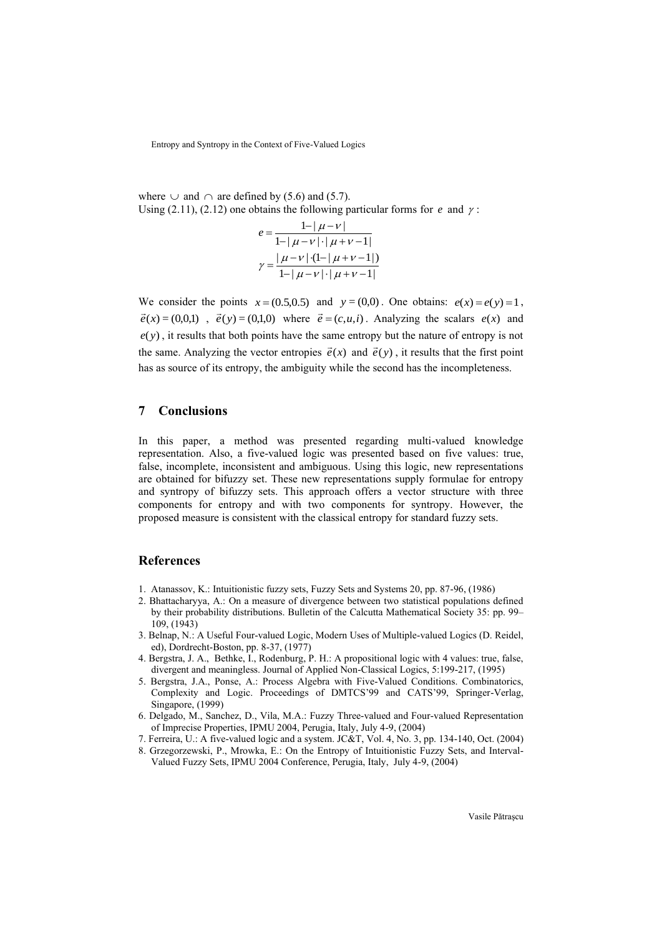where  $\cup$  and  $\cap$  are defined by (5.6) and (5.7). Using  $(2.11)$ ,  $(2.12)$  one obtains the following particular forms for *e* and  $\gamma$ :

$$
e = \frac{1 - |\mu - \nu|}{1 - |\mu - \nu| \cdot |\mu + \nu - 1|}
$$

$$
\gamma = \frac{|\mu - \nu| \cdot (1 - |\mu + \nu - 1|)}{1 - |\mu - \nu| \cdot |\mu + \nu - 1|}
$$

We consider the points  $x = (0.5, 0.5)$  and  $y = (0, 0)$ . One obtains:  $e(x) = e(y) = 1$ ,  $\vec{e}(x) = (0,0,1)$ ,  $\vec{e}(y) = (0,1,0)$  where  $\vec{e} = (c,u,i)$ . Analyzing the scalars  $e(x)$  and  $e(y)$ , it results that both points have the same entropy but the nature of entropy is not the same. Analyzing the vector entropies  $\vec{e}(x)$  and  $\vec{e}(y)$ , it results that the first point has as source of its entropy, the ambiguity while the second has the incompleteness.

# **7 Conclusions**

In this paper, a method was presented regarding multi-valued knowledge representation. Also, a five-valued logic was presented based on five values: true, false, incomplete, inconsistent and ambiguous. Using this logic, new representations are obtained for bifuzzy set. These new representations supply formulae for entropy and syntropy of bifuzzy sets. This approach offers a vector structure with three components for entropy and with two components for syntropy. However, the proposed measure is consistent with the classical entropy for standard fuzzy sets.

#### **References**

- 1. Atanassov, K.: Intuitionistic fuzzy sets, Fuzzy Sets and Systems 20, pp. 87-96, (1986)
- 2. Bhattacharyya, A.: On a measure of divergence between two statistical populations defined by their probability distributions. Bulletin of the Calcutta Mathematical Society 35: pp. 99– 109, (1943)
- 3. Belnap, N.: A Useful Four-valued Logic, Modern Uses of Multiple-valued Logics (D. Reidel, ed), Dordrecht-Boston, pp. 8-37, (1977)
- 4. Bergstra, J. A., Bethke, I., Rodenburg, P. H.: A propositional logic with 4 values: true, false, divergent and meaningless. Journal of Applied Non-Classical Logics, 5:199-217, (1995)
- 5. Bergstra, J.A., Ponse, A.: Process Algebra with Five-Valued Conditions. Combinatorics, Complexity and Logic. Proceedings of DMTCS'99 and CATS'99, Springer-Verlag, Singapore, (1999)
- 6. Delgado, M., Sanchez, D., Vila, M.A.: Fuzzy Three-valued and Four-valued Representation of Imprecise Properties, IPMU 2004, Perugia, Italy, July 4-9, (2004)
- 7. Ferreira, U.: A five-valued logic and a system. JC&T, Vol. 4, No. 3, pp. 134-140, Oct. (2004)
- 8. Grzegorzewski, P., Mrowka, E.: On the Entropy of Intuitionistic Fuzzy Sets, and Interval-Valued Fuzzy Sets, IPMU 2004 Conference, Perugia, Italy, July 4-9, (2004)